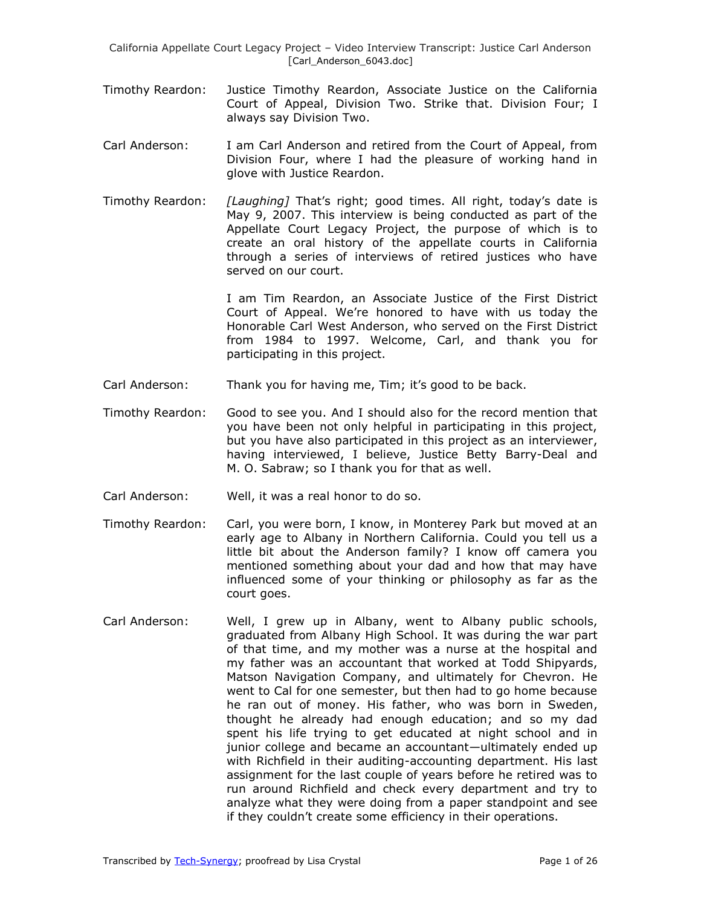California Appellate Court Legacy Project – Video Interview Transcript: Justice Carl Anderson [Carl\_Anderson\_6043.doc]

- Timothy Reardon: Justice Timothy Reardon, Associate Justice on the California Court of Appeal, Division Two. Strike that. Division Four; I always say Division Two.
- Carl Anderson: I am Carl Anderson and retired from the Court of Appeal, from Division Four, where I had the pleasure of working hand in glove with Justice Reardon.
- Timothy Reardon: *[Laughing]* That's right; good times. All right, today's date is May 9, 2007. This interview is being conducted as part of the Appellate Court Legacy Project, the purpose of which is to create an oral history of the appellate courts in California through a series of interviews of retired justices who have served on our court.

I am Tim Reardon, an Associate Justice of the First District Court of Appeal. We're honored to have with us today the Honorable Carl West Anderson, who served on the First District from 1984 to 1997. Welcome, Carl, and thank you for participating in this project.

- Carl Anderson: Thank you for having me, Tim; it's good to be back.
- Timothy Reardon: Good to see you. And I should also for the record mention that you have been not only helpful in participating in this project, but you have also participated in this project as an interviewer, having interviewed, I believe, Justice Betty Barry-Deal and M. O. Sabraw; so I thank you for that as well.
- Carl Anderson: Well, it was a real honor to do so.
- Timothy Reardon: Carl, you were born, I know, in Monterey Park but moved at an early age to Albany in Northern California. Could you tell us a little bit about the Anderson family? I know off camera you mentioned something about your dad and how that may have influenced some of your thinking or philosophy as far as the court goes.
- Carl Anderson: Well, I grew up in Albany, went to Albany public schools, graduated from Albany High School. It was during the war part of that time, and my mother was a nurse at the hospital and my father was an accountant that worked at Todd Shipyards, Matson Navigation Company, and ultimately for Chevron. He went to Cal for one semester, but then had to go home because he ran out of money. His father, who was born in Sweden, thought he already had enough education; and so my dad spent his life trying to get educated at night school and in junior college and became an accountant—ultimately ended up with Richfield in their auditing-accounting department. His last assignment for the last couple of years before he retired was to run around Richfield and check every department and try to analyze what they were doing from a paper standpoint and see if they couldn't create some efficiency in their operations.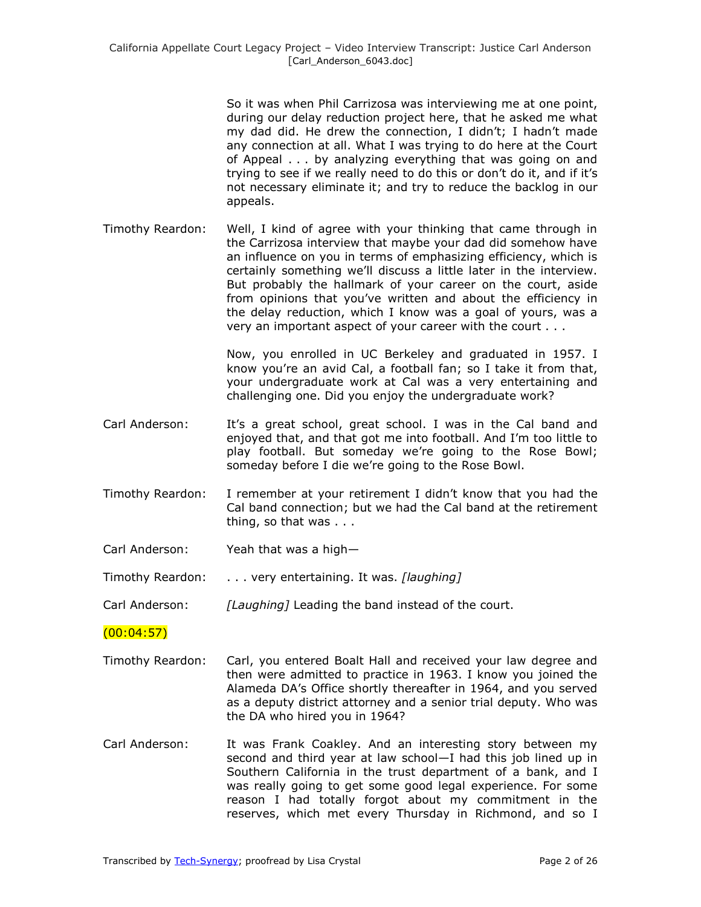So it was when Phil Carrizosa was interviewing me at one point, during our delay reduction project here, that he asked me what my dad did. He drew the connection, I didn't; I hadn't made any connection at all. What I was trying to do here at the Court of Appeal . . . by analyzing everything that was going on and trying to see if we really need to do this or don't do it, and if it's not necessary eliminate it; and try to reduce the backlog in our appeals.

Timothy Reardon: Well, I kind of agree with your thinking that came through in the Carrizosa interview that maybe your dad did somehow have an influence on you in terms of emphasizing efficiency, which is certainly something we'll discuss a little later in the interview. But probably the hallmark of your career on the court, aside from opinions that you've written and about the efficiency in the delay reduction, which I know was a goal of yours, was a very an important aspect of your career with the court . . .

> Now, you enrolled in UC Berkeley and graduated in 1957. I know you're an avid Cal, a football fan; so I take it from that, your undergraduate work at Cal was a very entertaining and challenging one. Did you enjoy the undergraduate work?

- Carl Anderson: It's a great school, great school. I was in the Cal band and enjoyed that, and that got me into football. And I'm too little to play football. But someday we're going to the Rose Bowl; someday before I die we're going to the Rose Bowl.
- Timothy Reardon: I remember at your retirement I didn't know that you had the Cal band connection; but we had the Cal band at the retirement thing, so that was . . .
- Carl Anderson: Yeah that was a high—
- Timothy Reardon: . . . very entertaining. It was. *[laughing]*
- Carl Anderson: *[Laughing]* Leading the band instead of the court.

#### $(00:04:57)$

- Timothy Reardon: Carl, you entered Boalt Hall and received your law degree and then were admitted to practice in 1963. I know you joined the Alameda DA's Office shortly thereafter in 1964, and you served as a deputy district attorney and a senior trial deputy. Who was the DA who hired you in 1964?
- Carl Anderson: It was Frank Coakley. And an interesting story between my second and third year at law school—I had this job lined up in Southern California in the trust department of a bank, and I was really going to get some good legal experience. For some reason I had totally forgot about my commitment in the reserves, which met every Thursday in Richmond, and so I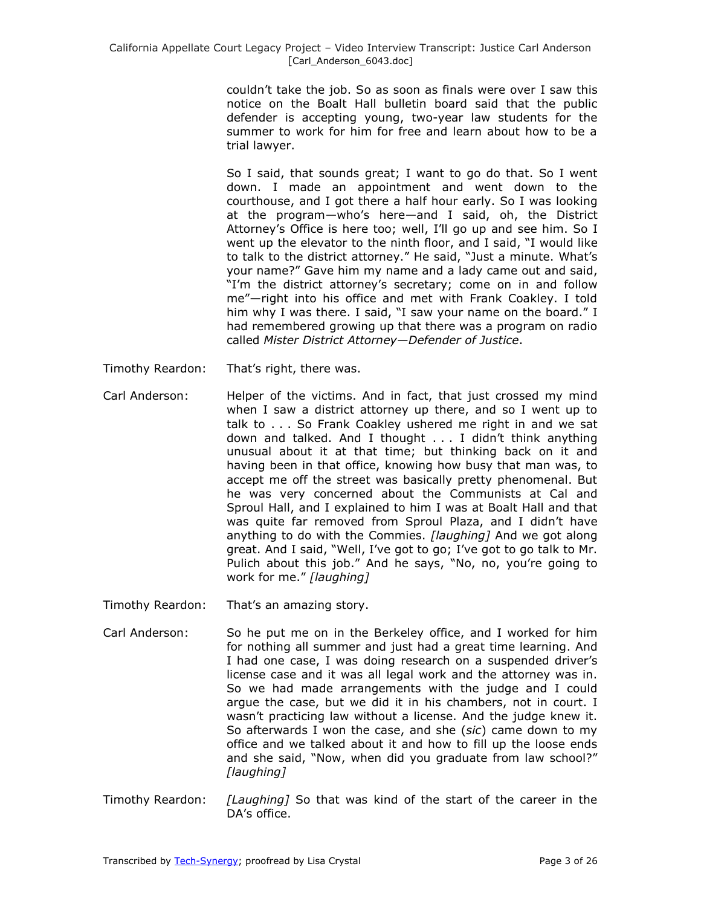couldn't take the job. So as soon as finals were over I saw this notice on the Boalt Hall bulletin board said that the public defender is accepting young, two-year law students for the summer to work for him for free and learn about how to be a trial lawyer.

So I said, that sounds great; I want to go do that. So I went down. I made an appointment and went down to the courthouse, and I got there a half hour early. So I was looking at the program—who's here—and I said, oh, the District Attorney's Office is here too; well, I'll go up and see him. So I went up the elevator to the ninth floor, and I said, "I would like to talk to the district attorney." He said, "Just a minute. What's your name?" Gave him my name and a lady came out and said, "I'm the district attorney's secretary; come on in and follow me"-right into his office and met with Frank Coakley. I told him why I was there. I said, "I saw your name on the board." I had remembered growing up that there was a program on radio called *Mister District Attorney—Defender of Justice*.

- Timothy Reardon: That's right, there was.
- Carl Anderson: Helper of the victims. And in fact, that just crossed my mind when I saw a district attorney up there, and so I went up to talk to . . . So Frank Coakley ushered me right in and we sat down and talked. And I thought . . . I didn't think anything unusual about it at that time; but thinking back on it and having been in that office, knowing how busy that man was, to accept me off the street was basically pretty phenomenal. But he was very concerned about the Communists at Cal and Sproul Hall, and I explained to him I was at Boalt Hall and that was quite far removed from Sproul Plaza, and I didn't have anything to do with the Commies. *[laughing]* And we got along great. And I said, "Well, I've got to go; I've got to go talk to Mr. Pulich about this job." And he says, "No, no, you're going to work for me.‖ *[laughing]*
- Timothy Reardon: That's an amazing story.
- Carl Anderson: So he put me on in the Berkeley office, and I worked for him for nothing all summer and just had a great time learning. And I had one case, I was doing research on a suspended driver's license case and it was all legal work and the attorney was in. So we had made arrangements with the judge and I could argue the case, but we did it in his chambers, not in court. I wasn't practicing law without a license. And the judge knew it. So afterwards I won the case, and she (*sic*) came down to my office and we talked about it and how to fill up the loose ends and she said, "Now, when did you graduate from law school?" *[laughing]*
- Timothy Reardon: *[Laughing]* So that was kind of the start of the career in the DA's office.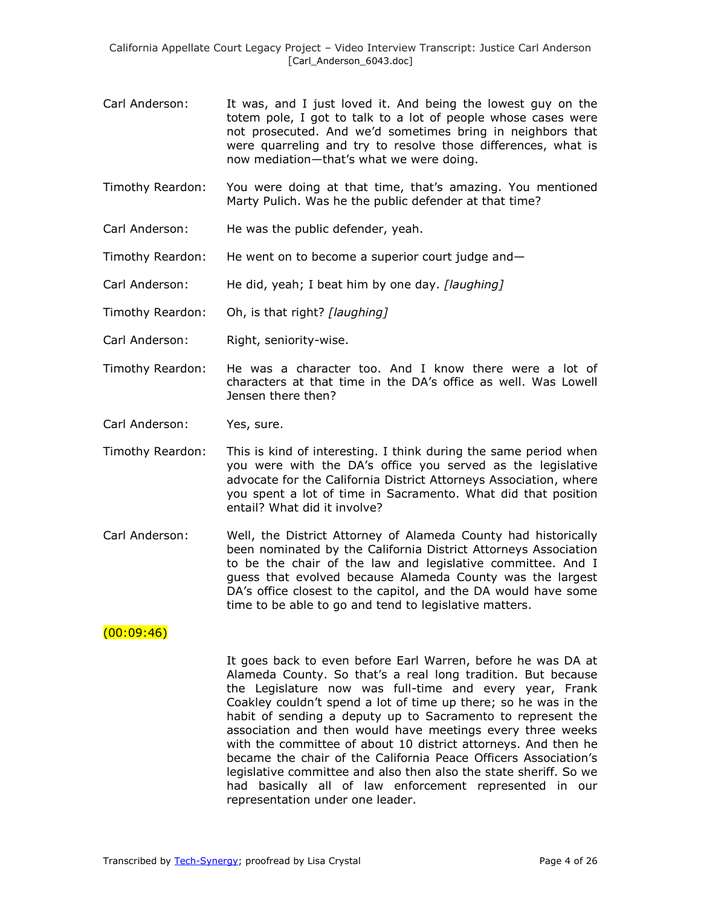- Carl Anderson: It was, and I just loved it. And being the lowest guy on the totem pole, I got to talk to a lot of people whose cases were not prosecuted. And we'd sometimes bring in neighbors that were quarreling and try to resolve those differences, what is now mediation—that's what we were doing.
- Timothy Reardon: You were doing at that time, that's amazing. You mentioned Marty Pulich. Was he the public defender at that time?
- Carl Anderson: He was the public defender, yeah.
- Timothy Reardon: He went on to become a superior court judge and—
- Carl Anderson: He did, yeah; I beat him by one day. *[laughing]*
- Timothy Reardon: Oh, is that right? *[laughing]*
- Carl Anderson: Right, seniority-wise.
- Timothy Reardon: He was a character too. And I know there were a lot of characters at that time in the DA's office as well. Was Lowell Jensen there then?
- Carl Anderson: Yes, sure.
- Timothy Reardon: This is kind of interesting. I think during the same period when you were with the DA's office you served as the legislative advocate for the California District Attorneys Association, where you spent a lot of time in Sacramento. What did that position entail? What did it involve?
- Carl Anderson: Well, the District Attorney of Alameda County had historically been nominated by the California District Attorneys Association to be the chair of the law and legislative committee. And I guess that evolved because Alameda County was the largest DA's office closest to the capitol, and the DA would have some time to be able to go and tend to legislative matters.

#### $(00:09:46)$

It goes back to even before Earl Warren, before he was DA at Alameda County. So that's a real long tradition. But because the Legislature now was full-time and every year, Frank Coakley couldn't spend a lot of time up there; so he was in the habit of sending a deputy up to Sacramento to represent the association and then would have meetings every three weeks with the committee of about 10 district attorneys. And then he became the chair of the California Peace Officers Association's legislative committee and also then also the state sheriff. So we had basically all of law enforcement represented in our representation under one leader.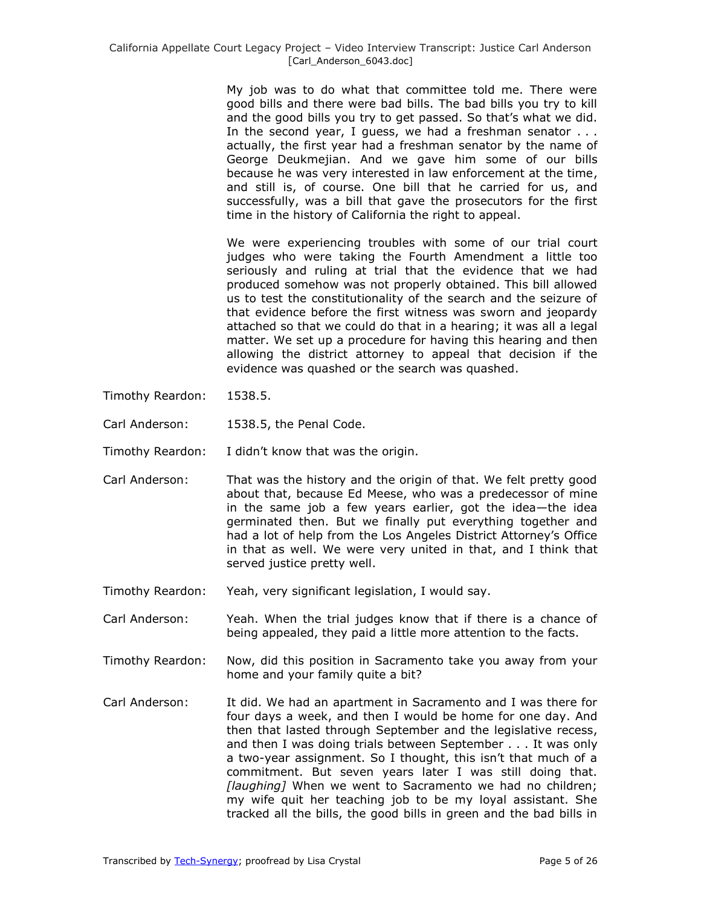My job was to do what that committee told me. There were good bills and there were bad bills. The bad bills you try to kill and the good bills you try to get passed. So that's what we did. In the second year, I guess, we had a freshman senator . . . actually, the first year had a freshman senator by the name of George Deukmejian. And we gave him some of our bills because he was very interested in law enforcement at the time, and still is, of course. One bill that he carried for us, and successfully, was a bill that gave the prosecutors for the first time in the history of California the right to appeal.

We were experiencing troubles with some of our trial court judges who were taking the Fourth Amendment a little too seriously and ruling at trial that the evidence that we had produced somehow was not properly obtained. This bill allowed us to test the constitutionality of the search and the seizure of that evidence before the first witness was sworn and jeopardy attached so that we could do that in a hearing; it was all a legal matter. We set up a procedure for having this hearing and then allowing the district attorney to appeal that decision if the evidence was quashed or the search was quashed.

- Timothy Reardon: 1538.5.
- Carl Anderson: 1538.5, the Penal Code.
- Timothy Reardon: I didn't know that was the origin.
- Carl Anderson: That was the history and the origin of that. We felt pretty good about that, because Ed Meese, who was a predecessor of mine in the same job a few years earlier, got the idea—the idea germinated then. But we finally put everything together and had a lot of help from the Los Angeles District Attorney's Office in that as well. We were very united in that, and I think that served justice pretty well.
- Timothy Reardon: Yeah, very significant legislation, I would say.
- Carl Anderson: Yeah. When the trial judges know that if there is a chance of being appealed, they paid a little more attention to the facts.
- Timothy Reardon: Now, did this position in Sacramento take you away from your home and your family quite a bit?
- Carl Anderson: It did. We had an apartment in Sacramento and I was there for four days a week, and then I would be home for one day. And then that lasted through September and the legislative recess, and then I was doing trials between September . . . It was only a two-year assignment. So I thought, this isn't that much of a commitment. But seven years later I was still doing that. *[laughing]* When we went to Sacramento we had no children; my wife quit her teaching job to be my loyal assistant. She tracked all the bills, the good bills in green and the bad bills in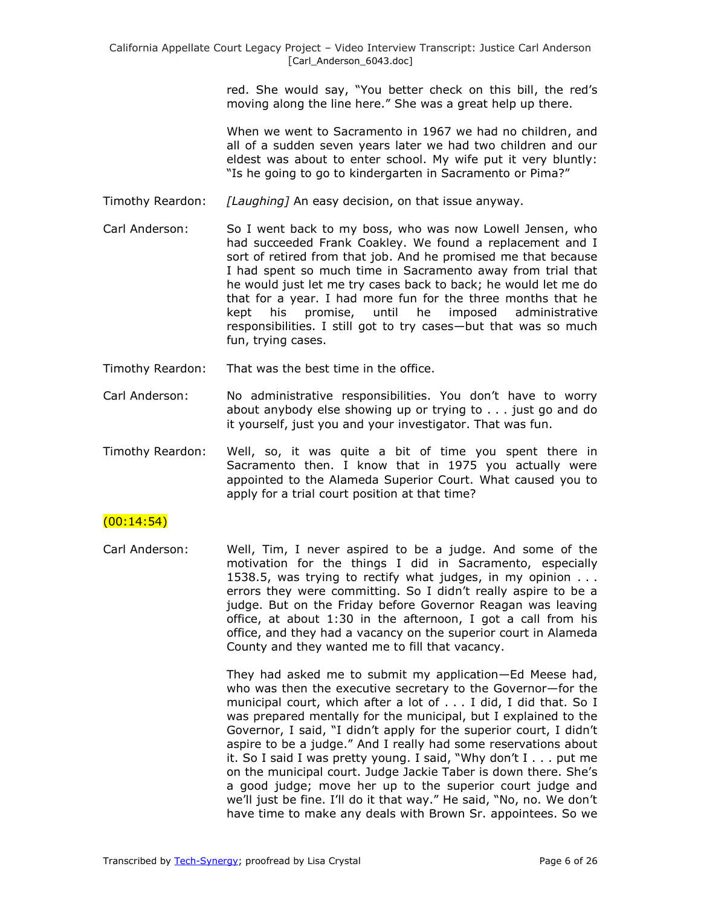red. She would say, "You better check on this bill, the red's moving along the line here." She was a great help up there.

When we went to Sacramento in 1967 we had no children, and all of a sudden seven years later we had two children and our eldest was about to enter school. My wife put it very bluntly: "Is he going to go to kindergarten in Sacramento or Pima?"

- Timothy Reardon: *[Laughing]* An easy decision, on that issue anyway.
- Carl Anderson: So I went back to my boss, who was now Lowell Jensen, who had succeeded Frank Coakley. We found a replacement and I sort of retired from that job. And he promised me that because I had spent so much time in Sacramento away from trial that he would just let me try cases back to back; he would let me do that for a year. I had more fun for the three months that he kept his promise, until he imposed administrative responsibilities. I still got to try cases—but that was so much fun, trying cases.
- Timothy Reardon: That was the best time in the office.
- Carl Anderson: No administrative responsibilities. You don't have to worry about anybody else showing up or trying to . . . just go and do it yourself, just you and your investigator. That was fun.
- Timothy Reardon: Well, so, it was quite a bit of time you spent there in Sacramento then. I know that in 1975 you actually were appointed to the Alameda Superior Court. What caused you to apply for a trial court position at that time?

#### $(00:14:54)$

Carl Anderson: Well, Tim, I never aspired to be a judge. And some of the motivation for the things I did in Sacramento, especially 1538.5, was trying to rectify what judges, in my opinion . . . errors they were committing. So I didn't really aspire to be a judge. But on the Friday before Governor Reagan was leaving office, at about 1:30 in the afternoon, I got a call from his office, and they had a vacancy on the superior court in Alameda County and they wanted me to fill that vacancy.

> They had asked me to submit my application—Ed Meese had, who was then the executive secretary to the Governor—for the municipal court, which after a lot of . . . I did, I did that. So I was prepared mentally for the municipal, but I explained to the Governor, I said, "I didn't apply for the superior court, I didn't aspire to be a judge." And I really had some reservations about it. So I said I was pretty young. I said, "Why don't  $I \ldots$  put me on the municipal court. Judge Jackie Taber is down there. She's a good judge; move her up to the superior court judge and we'll just be fine. I'll do it that way." He said, "No, no. We don't have time to make any deals with Brown Sr. appointees. So we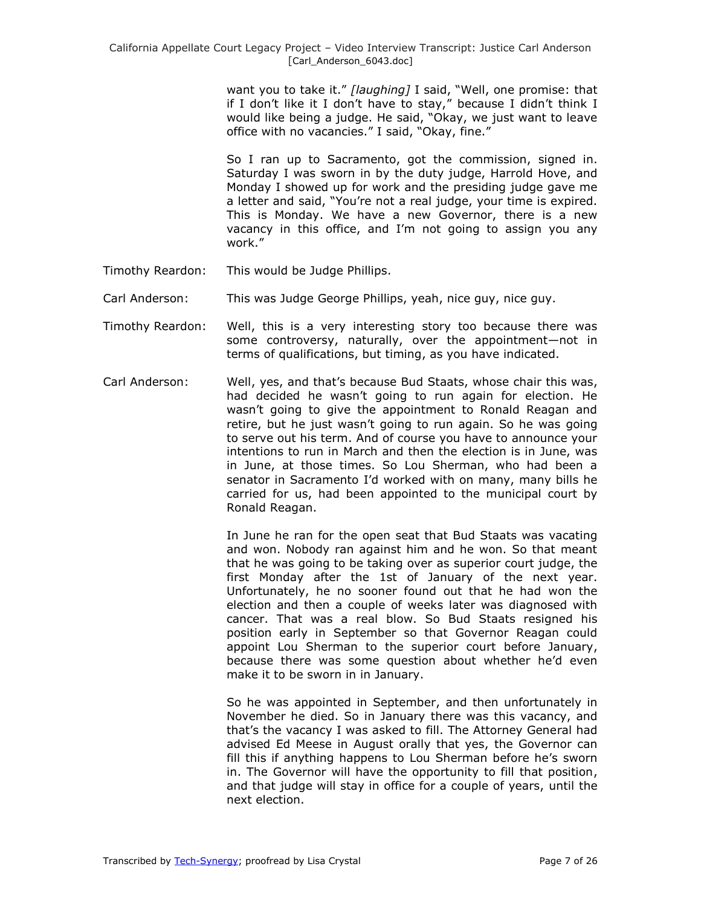want you to take it." [laughing] I said, "Well, one promise: that if I don't like it I don't have to stay," because I didn't think I would like being a judge. He said, "Okay, we just want to leave office with no vacancies." I said, "Okay, fine."

So I ran up to Sacramento, got the commission, signed in. Saturday I was sworn in by the duty judge, Harrold Hove, and Monday I showed up for work and the presiding judge gave me a letter and said, "You're not a real judge, your time is expired. This is Monday. We have a new Governor, there is a new vacancy in this office, and I'm not going to assign you any work."

- Timothy Reardon: This would be Judge Phillips.
- Carl Anderson: This was Judge George Phillips, yeah, nice guy, nice guy.
- Timothy Reardon: Well, this is a very interesting story too because there was some controversy, naturally, over the appointment—not in terms of qualifications, but timing, as you have indicated.
- Carl Anderson: Well, yes, and that's because Bud Staats, whose chair this was, had decided he wasn't going to run again for election. He wasn't going to give the appointment to Ronald Reagan and retire, but he just wasn't going to run again. So he was going to serve out his term. And of course you have to announce your intentions to run in March and then the election is in June, was in June, at those times. So Lou Sherman, who had been a senator in Sacramento I'd worked with on many, many bills he carried for us, had been appointed to the municipal court by Ronald Reagan.

In June he ran for the open seat that Bud Staats was vacating and won. Nobody ran against him and he won. So that meant that he was going to be taking over as superior court judge, the first Monday after the 1st of January of the next year. Unfortunately, he no sooner found out that he had won the election and then a couple of weeks later was diagnosed with cancer. That was a real blow. So Bud Staats resigned his position early in September so that Governor Reagan could appoint Lou Sherman to the superior court before January, because there was some question about whether he'd even make it to be sworn in in January.

So he was appointed in September, and then unfortunately in November he died. So in January there was this vacancy, and that's the vacancy I was asked to fill. The Attorney General had advised Ed Meese in August orally that yes, the Governor can fill this if anything happens to Lou Sherman before he's sworn in. The Governor will have the opportunity to fill that position, and that judge will stay in office for a couple of years, until the next election.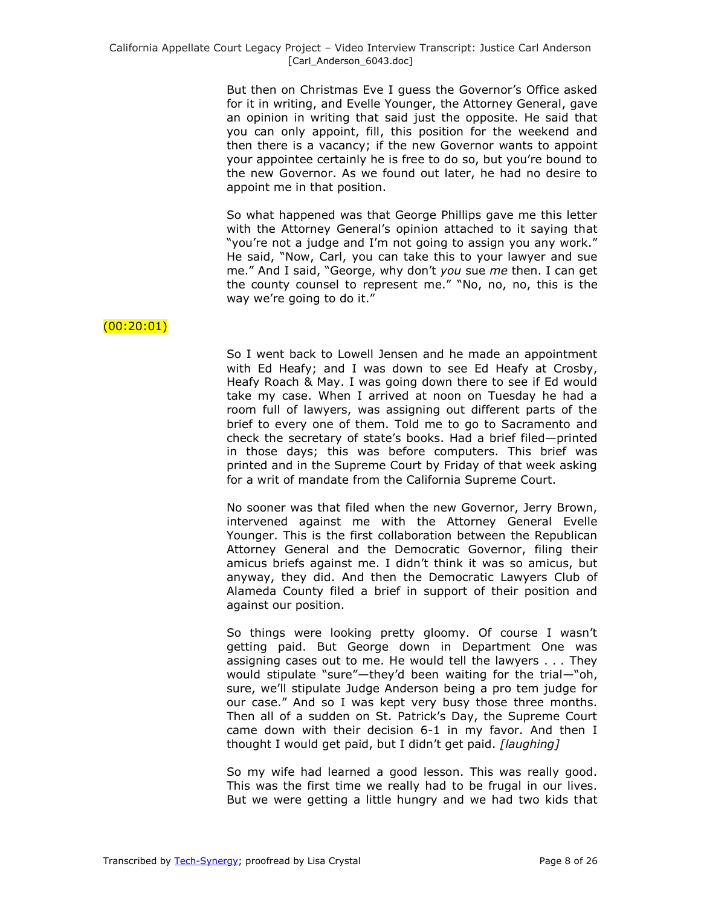But then on Christmas Eve I guess the Governor's Office asked for it in writing, and Evelle Younger, the Attorney General, gave an opinion in writing that said just the opposite. He said that you can only appoint, fill, this position for the weekend and then there is a vacancy; if the new Governor wants to appoint your appointee certainly he is free to do so, but you're bound to the new Governor. As we found out later, he had no desire to appoint me in that position.

So what happened was that George Phillips gave me this letter with the Attorney General's opinion attached to it saying that "you're not a judge and I'm not going to assign you any work." He said, "Now, Carl, you can take this to your lawyer and sue me." And I said, "George, why don't you sue me then. I can get the county counsel to represent me." "No, no, no, this is the way we're going to do it."

### $(00:20:01)$

So I went back to Lowell Jensen and he made an appointment with Ed Heafy; and I was down to see Ed Heafy at Crosby, Heafy Roach & May. I was going down there to see if Ed would take my case. When I arrived at noon on Tuesday he had a room full of lawyers, was assigning out different parts of the brief to every one of them. Told me to go to Sacramento and check the secretary of state's books. Had a brief filed—printed in those days; this was before computers. This brief was printed and in the Supreme Court by Friday of that week asking for a writ of mandate from the California Supreme Court.

No sooner was that filed when the new Governor, Jerry Brown, intervened against me with the Attorney General Evelle Younger. This is the first collaboration between the Republican Attorney General and the Democratic Governor, filing their amicus briefs against me. I didn't think it was so amicus, but anyway, they did. And then the Democratic Lawyers Club of Alameda County filed a brief in support of their position and against our position.

So things were looking pretty gloomy. Of course I wasn't getting paid. But George down in Department One was assigning cases out to me. He would tell the lawyers . . . They would stipulate "sure"—they'd been waiting for the trial—"oh, sure, we'll stipulate Judge Anderson being a pro tem judge for our case." And so I was kept very busy those three months. Then all of a sudden on St. Patrick's Day, the Supreme Court came down with their decision 6-1 in my favor. And then I thought I would get paid, but I didn't get paid. *[laughing]*

So my wife had learned a good lesson. This was really good. This was the first time we really had to be frugal in our lives. But we were getting a little hungry and we had two kids that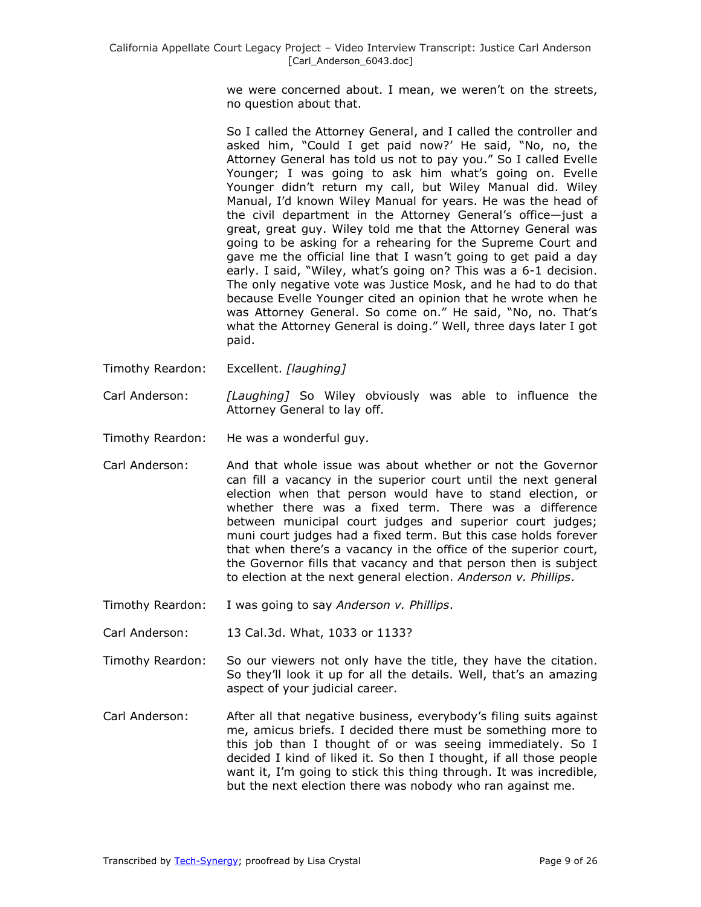we were concerned about. I mean, we weren't on the streets, no question about that.

So I called the Attorney General, and I called the controller and asked him, "Could I get paid now?' He said, "No, no, the Attorney General has told us not to pay you." So I called Evelle Younger; I was going to ask him what's going on. Evelle Younger didn't return my call, but Wiley Manual did. Wiley Manual, I'd known Wiley Manual for years. He was the head of the civil department in the Attorney General's office—just a great, great guy. Wiley told me that the Attorney General was going to be asking for a rehearing for the Supreme Court and gave me the official line that I wasn't going to get paid a day early. I said, "Wiley, what's going on? This was a 6-1 decision. The only negative vote was Justice Mosk, and he had to do that because Evelle Younger cited an opinion that he wrote when he was Attorney General. So come on." He said, "No, no. That's what the Attorney General is doing." Well, three days later I got paid.

- Timothy Reardon: Excellent. *[laughing]*
- Carl Anderson: *[Laughing]* So Wiley obviously was able to influence the Attorney General to lay off.
- Timothy Reardon: He was a wonderful guy.
- Carl Anderson: And that whole issue was about whether or not the Governor can fill a vacancy in the superior court until the next general election when that person would have to stand election, or whether there was a fixed term. There was a difference between municipal court judges and superior court judges; muni court judges had a fixed term. But this case holds forever that when there's a vacancy in the office of the superior court, the Governor fills that vacancy and that person then is subject to election at the next general election. *Anderson v. Phillips*.
- Timothy Reardon: I was going to say *Anderson v. Phillips*.
- Carl Anderson: 13 Cal.3d. What, 1033 or 1133?
- Timothy Reardon: So our viewers not only have the title, they have the citation. So they'll look it up for all the details. Well, that's an amazing aspect of your judicial career.
- Carl Anderson: After all that negative business, everybody's filing suits against me, amicus briefs. I decided there must be something more to this job than I thought of or was seeing immediately. So I decided I kind of liked it. So then I thought, if all those people want it, I'm going to stick this thing through. It was incredible, but the next election there was nobody who ran against me.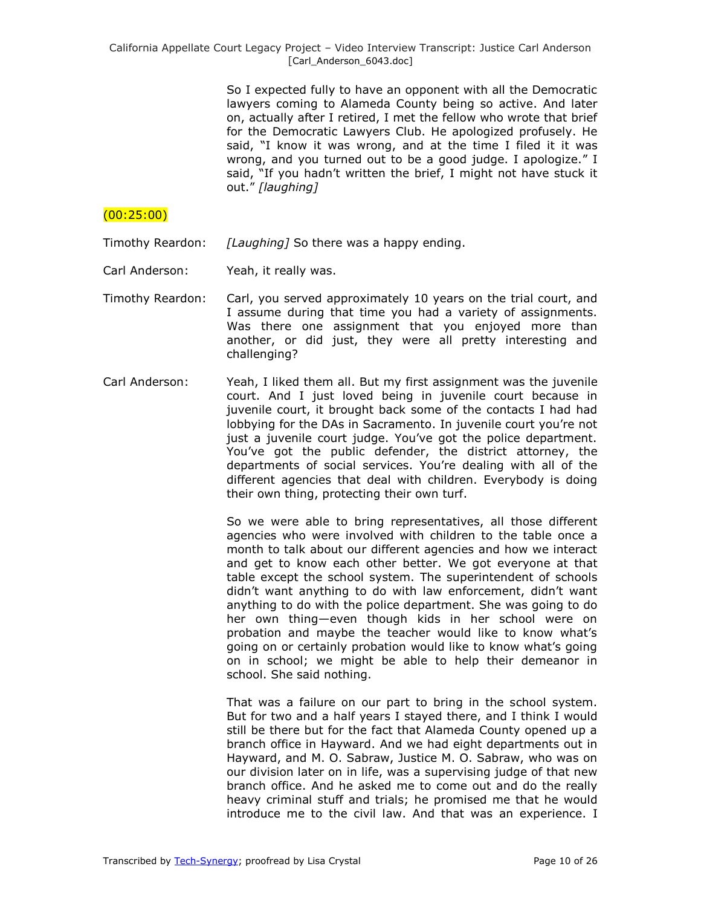So I expected fully to have an opponent with all the Democratic lawyers coming to Alameda County being so active. And later on, actually after I retired, I met the fellow who wrote that brief for the Democratic Lawyers Club. He apologized profusely. He said, "I know it was wrong, and at the time I filed it it was wrong, and you turned out to be a good judge. I apologize." I said, "If you hadn't written the brief, I might not have stuck it out.‖ *[laughing]*

# (00:25:00)

Timothy Reardon: *[Laughing]* So there was a happy ending.

- Carl Anderson: Yeah, it really was.
- Timothy Reardon: Carl, you served approximately 10 years on the trial court, and I assume during that time you had a variety of assignments. Was there one assignment that you enjoyed more than another, or did just, they were all pretty interesting and challenging?
- Carl Anderson: Yeah, I liked them all. But my first assignment was the juvenile court. And I just loved being in juvenile court because in juvenile court, it brought back some of the contacts I had had lobbying for the DAs in Sacramento. In juvenile court you're not just a juvenile court judge. You've got the police department. You've got the public defender, the district attorney, the departments of social services. You're dealing with all of the different agencies that deal with children. Everybody is doing their own thing, protecting their own turf.

So we were able to bring representatives, all those different agencies who were involved with children to the table once a month to talk about our different agencies and how we interact and get to know each other better. We got everyone at that table except the school system. The superintendent of schools didn't want anything to do with law enforcement, didn't want anything to do with the police department. She was going to do her own thing—even though kids in her school were on probation and maybe the teacher would like to know what's going on or certainly probation would like to know what's going on in school; we might be able to help their demeanor in school. She said nothing.

That was a failure on our part to bring in the school system. But for two and a half years I stayed there, and I think I would still be there but for the fact that Alameda County opened up a branch office in Hayward. And we had eight departments out in Hayward, and M. O. Sabraw, Justice M. O. Sabraw, who was on our division later on in life, was a supervising judge of that new branch office. And he asked me to come out and do the really heavy criminal stuff and trials; he promised me that he would introduce me to the civil law. And that was an experience. I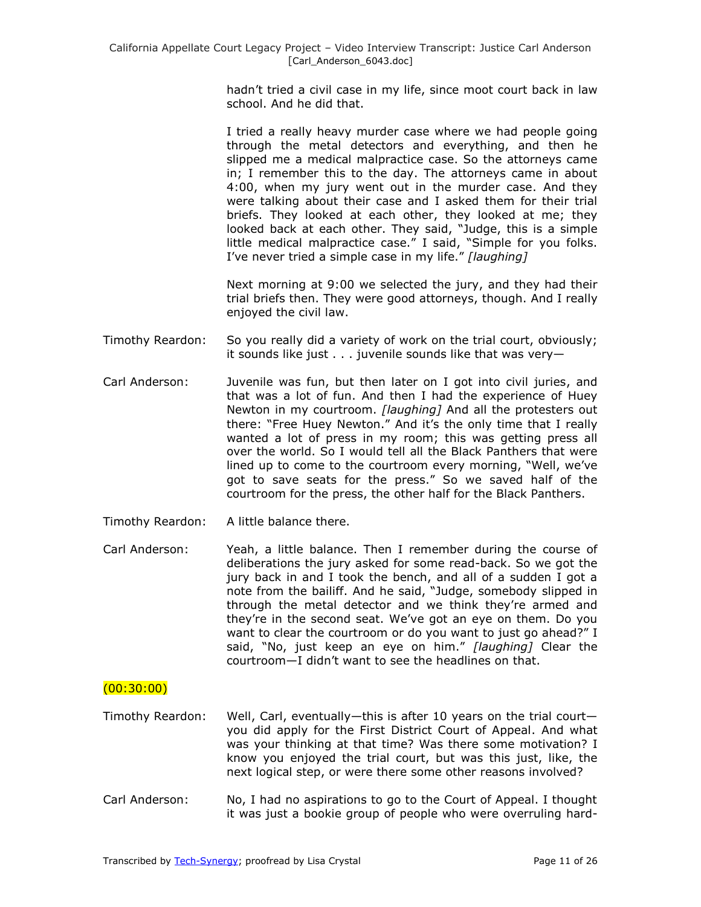hadn't tried a civil case in my life, since moot court back in law school. And he did that.

I tried a really heavy murder case where we had people going through the metal detectors and everything, and then he slipped me a medical malpractice case. So the attorneys came in; I remember this to the day. The attorneys came in about 4:00, when my jury went out in the murder case. And they were talking about their case and I asked them for their trial briefs. They looked at each other, they looked at me; they looked back at each other. They said, "Judge, this is a simple little medical malpractice case." I said, "Simple for you folks. I've never tried a simple case in my life." [laughing]

Next morning at 9:00 we selected the jury, and they had their trial briefs then. They were good attorneys, though. And I really enjoyed the civil law.

- Timothy Reardon: So you really did a variety of work on the trial court, obviously; it sounds like just . . . juvenile sounds like that was very—
- Carl Anderson: Juvenile was fun, but then later on I got into civil juries, and that was a lot of fun. And then I had the experience of Huey Newton in my courtroom. *[laughing]* And all the protesters out there: "Free Huey Newton." And it's the only time that I really wanted a lot of press in my room; this was getting press all over the world. So I would tell all the Black Panthers that were lined up to come to the courtroom every morning, "Well, we've got to save seats for the press." So we saved half of the courtroom for the press, the other half for the Black Panthers.
- Timothy Reardon: A little balance there.

Carl Anderson: Yeah, a little balance. Then I remember during the course of deliberations the jury asked for some read-back. So we got the jury back in and I took the bench, and all of a sudden I got a note from the bailiff. And he said, "Judge, somebody slipped in through the metal detector and we think they're armed and they're in the second seat. We've got an eye on them. Do you want to clear the courtroom or do you want to just go ahead?" I said, "No, just keep an eye on him." [laughing] Clear the courtroom—I didn't want to see the headlines on that.

#### $(00:30:00)$

- Timothy Reardon: Well, Carl, eventually—this is after 10 years on the trial court you did apply for the First District Court of Appeal. And what was your thinking at that time? Was there some motivation? I know you enjoyed the trial court, but was this just, like, the next logical step, or were there some other reasons involved?
- Carl Anderson: No, I had no aspirations to go to the Court of Appeal. I thought it was just a bookie group of people who were overruling hard-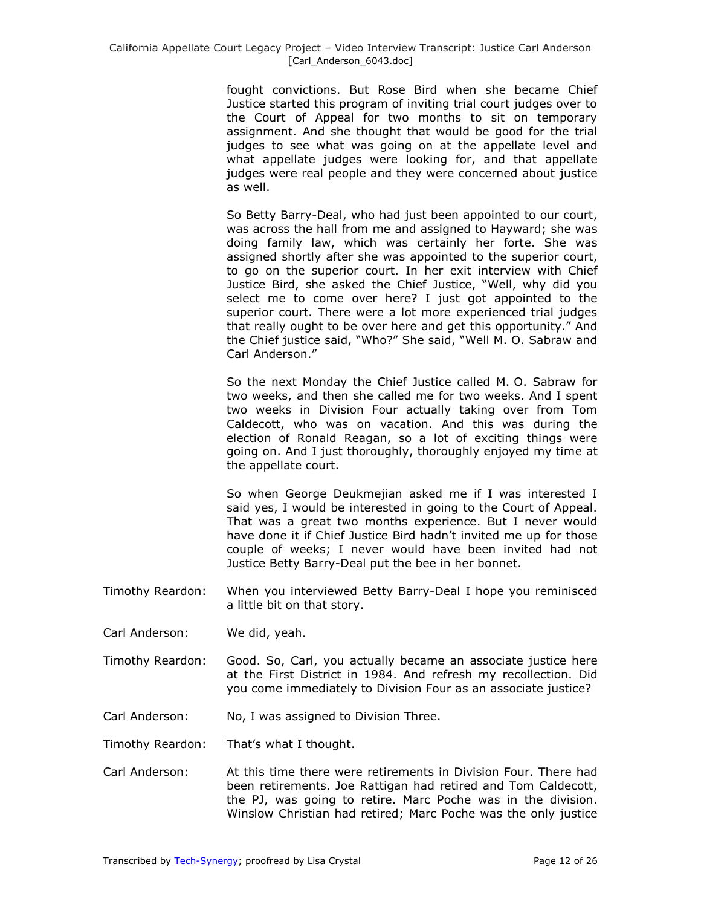fought convictions. But Rose Bird when she became Chief Justice started this program of inviting trial court judges over to the Court of Appeal for two months to sit on temporary assignment. And she thought that would be good for the trial judges to see what was going on at the appellate level and what appellate judges were looking for, and that appellate judges were real people and they were concerned about justice as well.

So Betty Barry-Deal, who had just been appointed to our court, was across the hall from me and assigned to Hayward; she was doing family law, which was certainly her forte. She was assigned shortly after she was appointed to the superior court, to go on the superior court. In her exit interview with Chief Justice Bird, she asked the Chief Justice, "Well, why did you select me to come over here? I just got appointed to the superior court. There were a lot more experienced trial judges that really ought to be over here and get this opportunity." And the Chief justice said, "Who?" She said, "Well M. O. Sabraw and Carl Anderson."

So the next Monday the Chief Justice called M. O. Sabraw for two weeks, and then she called me for two weeks. And I spent two weeks in Division Four actually taking over from Tom Caldecott, who was on vacation. And this was during the election of Ronald Reagan, so a lot of exciting things were going on. And I just thoroughly, thoroughly enjoyed my time at the appellate court.

So when George Deukmejian asked me if I was interested I said yes, I would be interested in going to the Court of Appeal. That was a great two months experience. But I never would have done it if Chief Justice Bird hadn't invited me up for those couple of weeks; I never would have been invited had not Justice Betty Barry-Deal put the bee in her bonnet.

- Timothy Reardon: When you interviewed Betty Barry-Deal I hope you reminisced a little bit on that story.
- Carl Anderson: We did, yeah.
- Timothy Reardon: Good. So, Carl, you actually became an associate justice here at the First District in 1984. And refresh my recollection. Did you come immediately to Division Four as an associate justice?
- Carl Anderson: No, I was assigned to Division Three.

Timothy Reardon: That's what I thought.

Carl Anderson: At this time there were retirements in Division Four. There had been retirements. Joe Rattigan had retired and Tom Caldecott, the PJ, was going to retire. Marc Poche was in the division. Winslow Christian had retired; Marc Poche was the only justice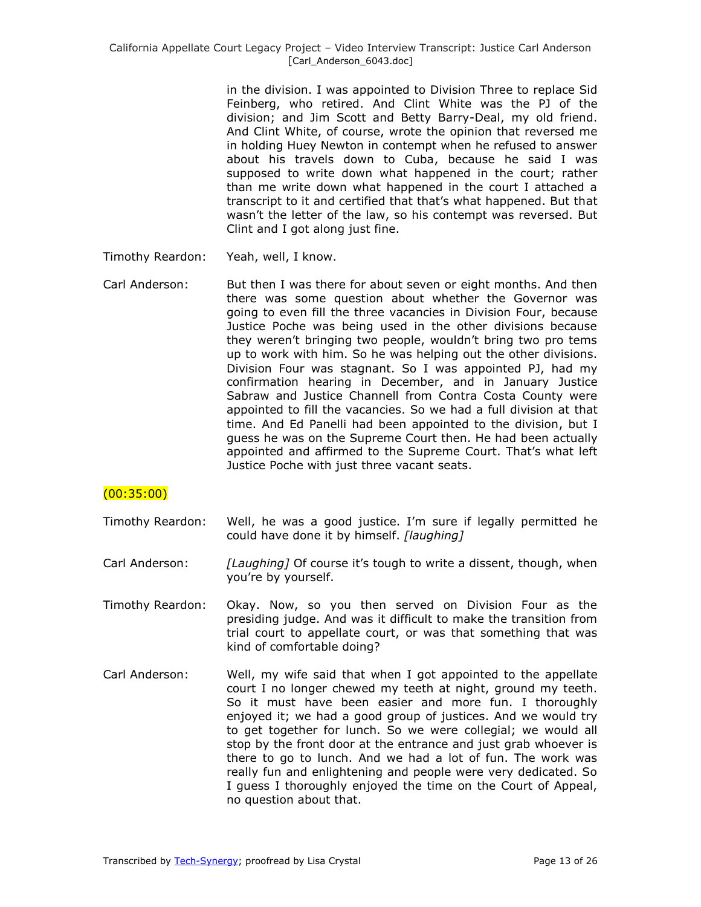in the division. I was appointed to Division Three to replace Sid Feinberg, who retired. And Clint White was the PJ of the division; and Jim Scott and Betty Barry-Deal, my old friend. And Clint White, of course, wrote the opinion that reversed me in holding Huey Newton in contempt when he refused to answer about his travels down to Cuba, because he said I was supposed to write down what happened in the court; rather than me write down what happened in the court I attached a transcript to it and certified that that's what happened. But that wasn't the letter of the law, so his contempt was reversed. But Clint and I got along just fine.

- Timothy Reardon: Yeah, well, I know.
- Carl Anderson: But then I was there for about seven or eight months. And then there was some question about whether the Governor was going to even fill the three vacancies in Division Four, because Justice Poche was being used in the other divisions because they weren't bringing two people, wouldn't bring two pro tems up to work with him. So he was helping out the other divisions. Division Four was stagnant. So I was appointed PJ, had my confirmation hearing in December, and in January Justice Sabraw and Justice Channell from Contra Costa County were appointed to fill the vacancies. So we had a full division at that time. And Ed Panelli had been appointed to the division, but I guess he was on the Supreme Court then. He had been actually appointed and affirmed to the Supreme Court. That's what left Justice Poche with just three vacant seats.

# (00:35:00)

- Timothy Reardon: Well, he was a good justice. I'm sure if legally permitted he could have done it by himself. *[laughing]*
- Carl Anderson: *[Laughing]* Of course it's tough to write a dissent, though, when you're by yourself.
- Timothy Reardon: Okay. Now, so you then served on Division Four as the presiding judge. And was it difficult to make the transition from trial court to appellate court, or was that something that was kind of comfortable doing?
- Carl Anderson: Well, my wife said that when I got appointed to the appellate court I no longer chewed my teeth at night, ground my teeth. So it must have been easier and more fun. I thoroughly enjoyed it; we had a good group of justices. And we would try to get together for lunch. So we were collegial; we would all stop by the front door at the entrance and just grab whoever is there to go to lunch. And we had a lot of fun. The work was really fun and enlightening and people were very dedicated. So I guess I thoroughly enjoyed the time on the Court of Appeal, no question about that.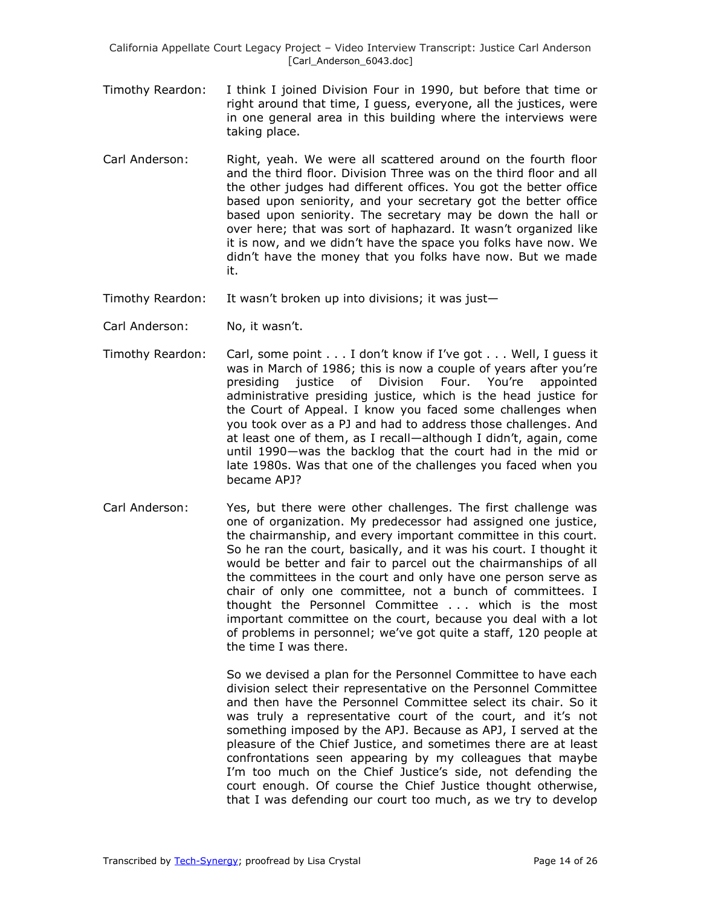California Appellate Court Legacy Project – Video Interview Transcript: Justice Carl Anderson [Carl\_Anderson\_6043.doc]

- Timothy Reardon: I think I joined Division Four in 1990, but before that time or right around that time, I guess, everyone, all the justices, were in one general area in this building where the interviews were taking place.
- Carl Anderson: Right, yeah. We were all scattered around on the fourth floor and the third floor. Division Three was on the third floor and all the other judges had different offices. You got the better office based upon seniority, and your secretary got the better office based upon seniority. The secretary may be down the hall or over here; that was sort of haphazard. It wasn't organized like it is now, and we didn't have the space you folks have now. We didn't have the money that you folks have now. But we made it.
- Timothy Reardon: It wasn't broken up into divisions; it was just—
- Carl Anderson: No, it wasn't.
- Timothy Reardon: Carl, some point . . . I don't know if I've got . . . Well, I guess it was in March of 1986; this is now a couple of years after you're presiding justice of Division Four. You're appointed administrative presiding justice, which is the head justice for the Court of Appeal. I know you faced some challenges when you took over as a PJ and had to address those challenges. And at least one of them, as I recall—although I didn't, again, come until 1990—was the backlog that the court had in the mid or late 1980s. Was that one of the challenges you faced when you became APJ?
- Carl Anderson: Yes, but there were other challenges. The first challenge was one of organization. My predecessor had assigned one justice, the chairmanship, and every important committee in this court. So he ran the court, basically, and it was his court. I thought it would be better and fair to parcel out the chairmanships of all the committees in the court and only have one person serve as chair of only one committee, not a bunch of committees. I thought the Personnel Committee . . . which is the most important committee on the court, because you deal with a lot of problems in personnel; we've got quite a staff, 120 people at the time I was there.

So we devised a plan for the Personnel Committee to have each division select their representative on the Personnel Committee and then have the Personnel Committee select its chair. So it was truly a representative court of the court, and it's not something imposed by the APJ. Because as APJ, I served at the pleasure of the Chief Justice, and sometimes there are at least confrontations seen appearing by my colleagues that maybe I'm too much on the Chief Justice's side, not defending the court enough. Of course the Chief Justice thought otherwise, that I was defending our court too much, as we try to develop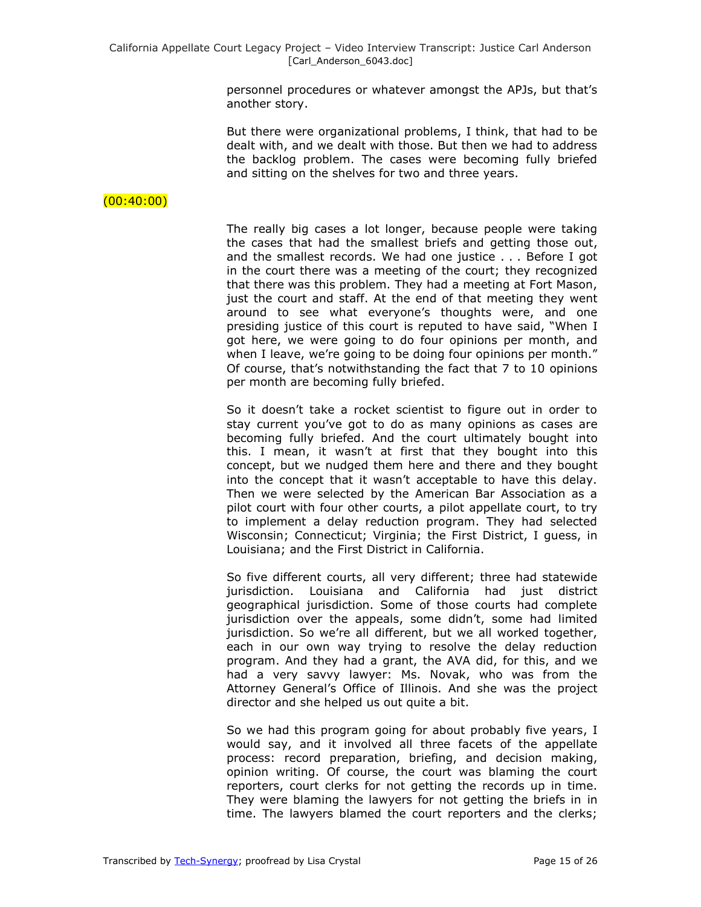personnel procedures or whatever amongst the APJs, but that's another story.

But there were organizational problems, I think, that had to be dealt with, and we dealt with those. But then we had to address the backlog problem. The cases were becoming fully briefed and sitting on the shelves for two and three years.

# $(00:40:00)$

The really big cases a lot longer, because people were taking the cases that had the smallest briefs and getting those out, and the smallest records. We had one justice . . . Before I got in the court there was a meeting of the court; they recognized that there was this problem. They had a meeting at Fort Mason, just the court and staff. At the end of that meeting they went around to see what everyone's thoughts were, and one presiding justice of this court is reputed to have said, "When I got here, we were going to do four opinions per month, and when I leave, we're going to be doing four opinions per month." Of course, that's notwithstanding the fact that 7 to 10 opinions per month are becoming fully briefed.

So it doesn't take a rocket scientist to figure out in order to stay current you've got to do as many opinions as cases are becoming fully briefed. And the court ultimately bought into this. I mean, it wasn't at first that they bought into this concept, but we nudged them here and there and they bought into the concept that it wasn't acceptable to have this delay. Then we were selected by the American Bar Association as a pilot court with four other courts, a pilot appellate court, to try to implement a delay reduction program. They had selected Wisconsin; Connecticut; Virginia; the First District, I guess, in Louisiana; and the First District in California.

So five different courts, all very different; three had statewide jurisdiction. Louisiana and California had just district geographical jurisdiction. Some of those courts had complete jurisdiction over the appeals, some didn't, some had limited jurisdiction. So we're all different, but we all worked together, each in our own way trying to resolve the delay reduction program. And they had a grant, the AVA did, for this, and we had a very savvy lawyer: Ms. Novak, who was from the Attorney General's Office of Illinois. And she was the project director and she helped us out quite a bit.

So we had this program going for about probably five years, I would say, and it involved all three facets of the appellate process: record preparation, briefing, and decision making, opinion writing. Of course, the court was blaming the court reporters, court clerks for not getting the records up in time. They were blaming the lawyers for not getting the briefs in in time. The lawyers blamed the court reporters and the clerks;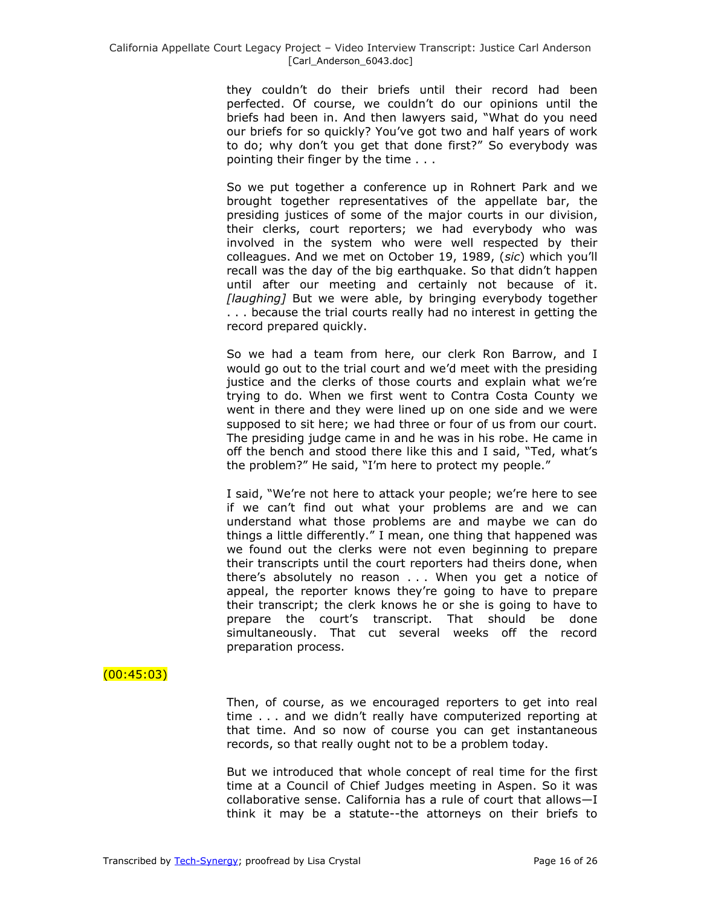they couldn't do their briefs until their record had been perfected. Of course, we couldn't do our opinions until the briefs had been in. And then lawyers said, "What do you need our briefs for so quickly? You've got two and half years of work to do; why don't you get that done first?" So everybody was pointing their finger by the time . . .

So we put together a conference up in Rohnert Park and we brought together representatives of the appellate bar, the presiding justices of some of the major courts in our division, their clerks, court reporters; we had everybody who was involved in the system who were well respected by their colleagues. And we met on October 19, 1989, (*sic*) which you'll recall was the day of the big earthquake. So that didn't happen until after our meeting and certainly not because of it. *[laughing]* But we were able, by bringing everybody together . . . because the trial courts really had no interest in getting the record prepared quickly.

So we had a team from here, our clerk Ron Barrow, and I would go out to the trial court and we'd meet with the presiding justice and the clerks of those courts and explain what we're trying to do. When we first went to Contra Costa County we went in there and they were lined up on one side and we were supposed to sit here; we had three or four of us from our court. The presiding judge came in and he was in his robe. He came in off the bench and stood there like this and I said, "Ted, what's the problem?" He said, "I'm here to protect my people."

I said, "We're not here to attack your people; we're here to see if we can't find out what your problems are and we can understand what those problems are and maybe we can do things a little differently." I mean, one thing that happened was we found out the clerks were not even beginning to prepare their transcripts until the court reporters had theirs done, when there's absolutely no reason . . . When you get a notice of appeal, the reporter knows they're going to have to prepare their transcript; the clerk knows he or she is going to have to prepare the court's transcript. That should be done simultaneously. That cut several weeks off the record preparation process.

# $(00:45:03)$

Then, of course, as we encouraged reporters to get into real time . . . and we didn't really have computerized reporting at that time. And so now of course you can get instantaneous records, so that really ought not to be a problem today.

But we introduced that whole concept of real time for the first time at a Council of Chief Judges meeting in Aspen. So it was collaborative sense. California has a rule of court that allows—I think it may be a statute--the attorneys on their briefs to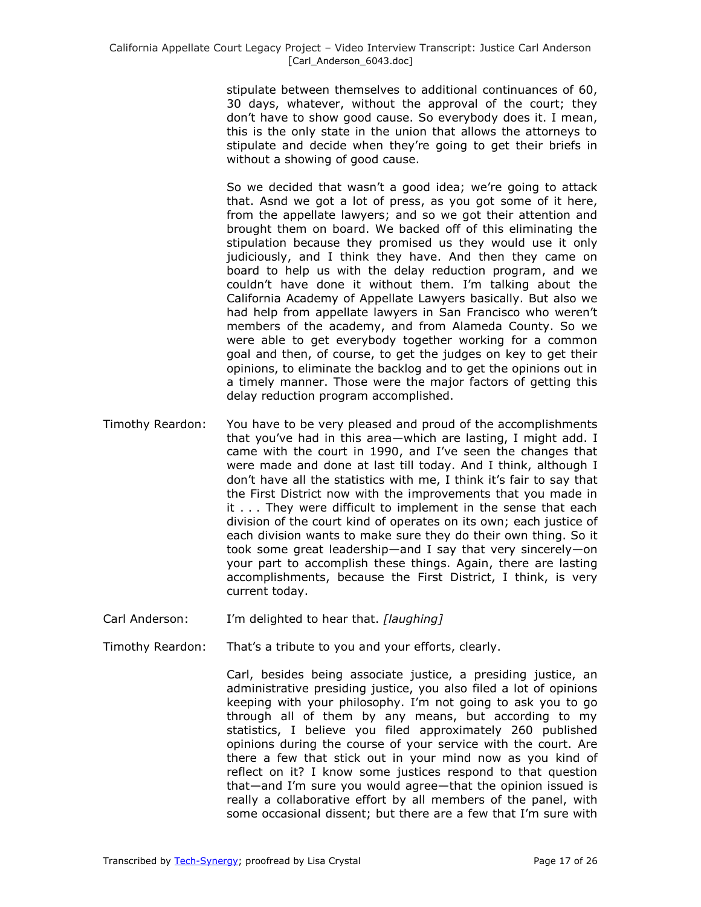stipulate between themselves to additional continuances of 60, 30 days, whatever, without the approval of the court; they don't have to show good cause. So everybody does it. I mean, this is the only state in the union that allows the attorneys to stipulate and decide when they're going to get their briefs in without a showing of good cause.

So we decided that wasn't a good idea; we're going to attack that. Asnd we got a lot of press, as you got some of it here, from the appellate lawyers; and so we got their attention and brought them on board. We backed off of this eliminating the stipulation because they promised us they would use it only judiciously, and I think they have. And then they came on board to help us with the delay reduction program, and we couldn't have done it without them. I'm talking about the California Academy of Appellate Lawyers basically. But also we had help from appellate lawyers in San Francisco who weren't members of the academy, and from Alameda County. So we were able to get everybody together working for a common goal and then, of course, to get the judges on key to get their opinions, to eliminate the backlog and to get the opinions out in a timely manner. Those were the major factors of getting this delay reduction program accomplished.

- Timothy Reardon: You have to be very pleased and proud of the accomplishments that you've had in this area—which are lasting, I might add. I came with the court in 1990, and I've seen the changes that were made and done at last till today. And I think, although I don't have all the statistics with me, I think it's fair to say that the First District now with the improvements that you made in it . . . They were difficult to implement in the sense that each division of the court kind of operates on its own; each justice of each division wants to make sure they do their own thing. So it took some great leadership—and I say that very sincerely—on your part to accomplish these things. Again, there are lasting accomplishments, because the First District, I think, is very current today.
- Carl Anderson: I'm delighted to hear that. *[laughing]*
- Timothy Reardon: That's a tribute to you and your efforts, clearly.

Carl, besides being associate justice, a presiding justice, an administrative presiding justice, you also filed a lot of opinions keeping with your philosophy. I'm not going to ask you to go through all of them by any means, but according to my statistics, I believe you filed approximately 260 published opinions during the course of your service with the court. Are there a few that stick out in your mind now as you kind of reflect on it? I know some justices respond to that question that—and I'm sure you would agree—that the opinion issued is really a collaborative effort by all members of the panel, with some occasional dissent; but there are a few that I'm sure with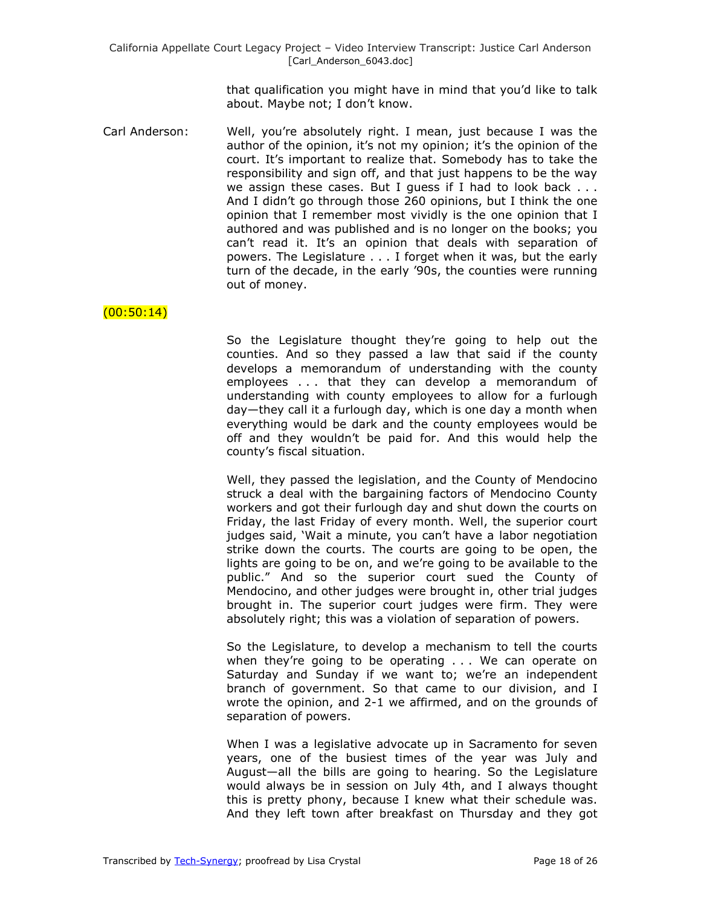that qualification you might have in mind that you'd like to talk about. Maybe not; I don't know.

Carl Anderson: Well, you're absolutely right. I mean, just because I was the author of the opinion, it's not my opinion; it's the opinion of the court. It's important to realize that. Somebody has to take the responsibility and sign off, and that just happens to be the way we assign these cases. But I guess if I had to look back . . . And I didn't go through those 260 opinions, but I think the one opinion that I remember most vividly is the one opinion that I authored and was published and is no longer on the books; you can't read it. It's an opinion that deals with separation of powers. The Legislature . . . I forget when it was, but the early turn of the decade, in the early '90s, the counties were running out of money.

### $(00:50:14)$

So the Legislature thought they're going to help out the counties. And so they passed a law that said if the county develops a memorandum of understanding with the county employees . . . that they can develop a memorandum of understanding with county employees to allow for a furlough day—they call it a furlough day, which is one day a month when everything would be dark and the county employees would be off and they wouldn't be paid for. And this would help the county's fiscal situation.

Well, they passed the legislation, and the County of Mendocino struck a deal with the bargaining factors of Mendocino County workers and got their furlough day and shut down the courts on Friday, the last Friday of every month. Well, the superior court judges said, 'Wait a minute, you can't have a labor negotiation strike down the courts. The courts are going to be open, the lights are going to be on, and we're going to be available to the public.‖ And so the superior court sued the County of Mendocino, and other judges were brought in, other trial judges brought in. The superior court judges were firm. They were absolutely right; this was a violation of separation of powers.

So the Legislature, to develop a mechanism to tell the courts when they're going to be operating . . . We can operate on Saturday and Sunday if we want to; we're an independent branch of government. So that came to our division, and I wrote the opinion, and 2-1 we affirmed, and on the grounds of separation of powers.

When I was a legislative advocate up in Sacramento for seven years, one of the busiest times of the year was July and August—all the bills are going to hearing. So the Legislature would always be in session on July 4th, and I always thought this is pretty phony, because I knew what their schedule was. And they left town after breakfast on Thursday and they got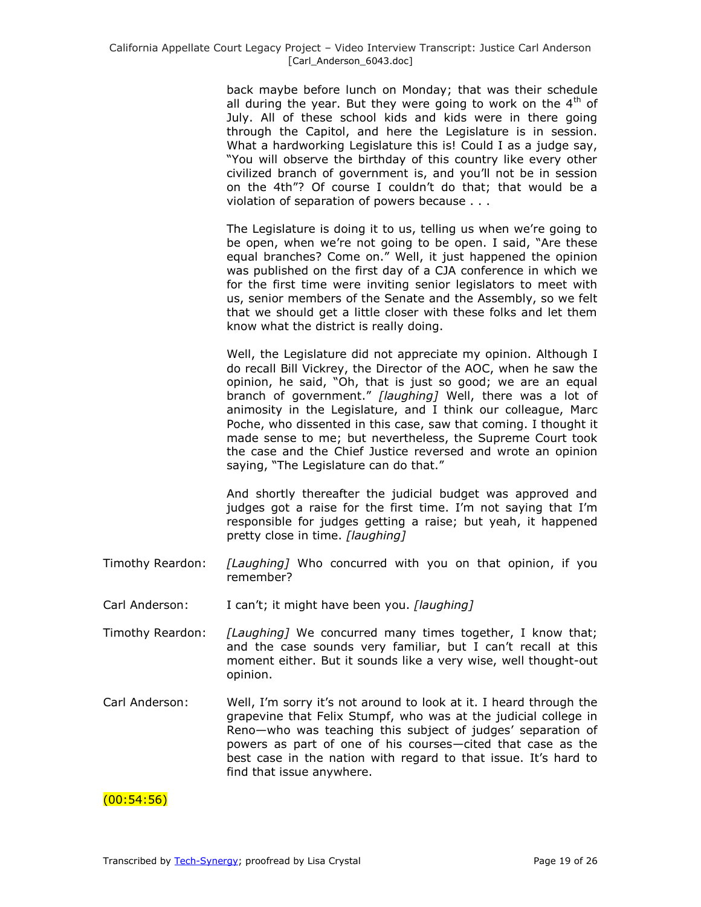back maybe before lunch on Monday; that was their schedule all during the year. But they were going to work on the  $4<sup>th</sup>$  of July. All of these school kids and kids were in there going through the Capitol, and here the Legislature is in session. What a hardworking Legislature this is! Could I as a judge say, "You will observe the birthday of this country like every other civilized branch of government is, and you'll not be in session on the 4th"? Of course I couldn't do that; that would be a violation of separation of powers because . . .

The Legislature is doing it to us, telling us when we're going to be open, when we're not going to be open. I said, "Are these equal branches? Come on." Well, it just happened the opinion was published on the first day of a CJA conference in which we for the first time were inviting senior legislators to meet with us, senior members of the Senate and the Assembly, so we felt that we should get a little closer with these folks and let them know what the district is really doing.

Well, the Legislature did not appreciate my opinion. Although I do recall Bill Vickrey, the Director of the AOC, when he saw the opinion, he said, "Oh, that is just so good; we are an equal branch of government.‖ *[laughing]* Well, there was a lot of animosity in the Legislature, and I think our colleague, Marc Poche, who dissented in this case, saw that coming. I thought it made sense to me; but nevertheless, the Supreme Court took the case and the Chief Justice reversed and wrote an opinion saying, "The Legislature can do that."

And shortly thereafter the judicial budget was approved and judges got a raise for the first time. I'm not saying that I'm responsible for judges getting a raise; but yeah, it happened pretty close in time. *[laughing]*

- Timothy Reardon: *[Laughing]* Who concurred with you on that opinion, if you remember?
- Carl Anderson: I can't; it might have been you. *[laughing]*
- Timothy Reardon: *[Laughing]* We concurred many times together, I know that; and the case sounds very familiar, but I can't recall at this moment either. But it sounds like a very wise, well thought-out opinion.
- Carl Anderson: Well, I'm sorry it's not around to look at it. I heard through the grapevine that Felix Stumpf, who was at the judicial college in Reno—who was teaching this subject of judges' separation of powers as part of one of his courses—cited that case as the best case in the nation with regard to that issue. It's hard to find that issue anywhere.

 $(00:54:56)$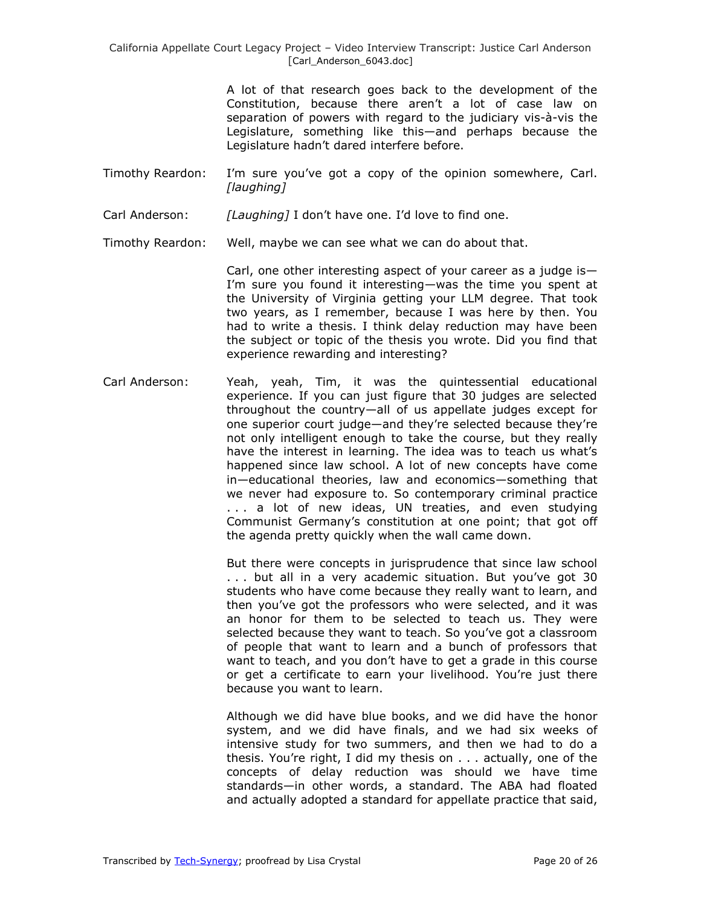California Appellate Court Legacy Project – Video Interview Transcript: Justice Carl Anderson [Carl\_Anderson\_6043.doc]

> A lot of that research goes back to the development of the Constitution, because there aren't a lot of case law on separation of powers with regard to the judiciary vis-à-vis the Legislature, something like this—and perhaps because the Legislature hadn't dared interfere before.

Timothy Reardon: I'm sure you've got a copy of the opinion somewhere, Carl. *[laughing]*

Carl Anderson: *[Laughing]* I don't have one. I'd love to find one.

Timothy Reardon: Well, maybe we can see what we can do about that.

Carl, one other interesting aspect of your career as a judge is— I'm sure you found it interesting—was the time you spent at the University of Virginia getting your LLM degree. That took two years, as I remember, because I was here by then. You had to write a thesis. I think delay reduction may have been the subject or topic of the thesis you wrote. Did you find that experience rewarding and interesting?

Carl Anderson: Yeah, yeah, Tim, it was the quintessential educational experience. If you can just figure that 30 judges are selected throughout the country—all of us appellate judges except for one superior court judge—and they're selected because they're not only intelligent enough to take the course, but they really have the interest in learning. The idea was to teach us what's happened since law school. A lot of new concepts have come in—educational theories, law and economics—something that we never had exposure to. So contemporary criminal practice ... a lot of new ideas, UN treaties, and even studying Communist Germany's constitution at one point; that got off the agenda pretty quickly when the wall came down.

> But there were concepts in jurisprudence that since law school . . . but all in a very academic situation. But you've got 30 students who have come because they really want to learn, and then you've got the professors who were selected, and it was an honor for them to be selected to teach us. They were selected because they want to teach. So you've got a classroom of people that want to learn and a bunch of professors that want to teach, and you don't have to get a grade in this course or get a certificate to earn your livelihood. You're just there because you want to learn.

> Although we did have blue books, and we did have the honor system, and we did have finals, and we had six weeks of intensive study for two summers, and then we had to do a thesis. You're right, I did my thesis on . . . actually, one of the concepts of delay reduction was should we have time standards—in other words, a standard. The ABA had floated and actually adopted a standard for appellate practice that said,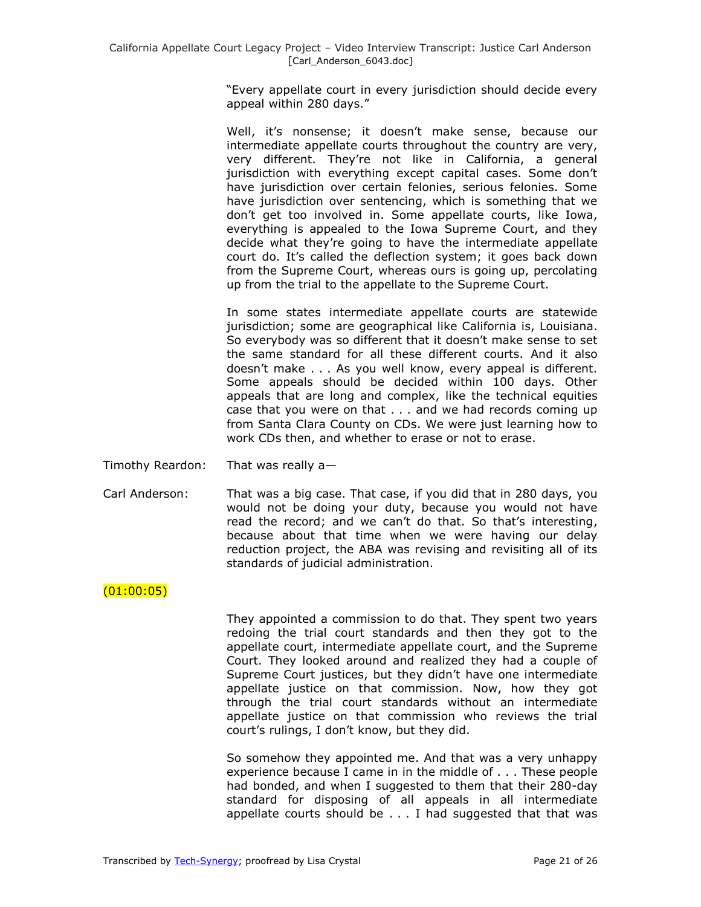―Every appellate court in every jurisdiction should decide every appeal within 280 days."

Well, it's nonsense; it doesn't make sense, because our intermediate appellate courts throughout the country are very, very different. They're not like in California, a general jurisdiction with everything except capital cases. Some don't have jurisdiction over certain felonies, serious felonies. Some have jurisdiction over sentencing, which is something that we don't get too involved in. Some appellate courts, like Iowa, everything is appealed to the Iowa Supreme Court, and they decide what they're going to have the intermediate appellate court do. It's called the deflection system; it goes back down from the Supreme Court, whereas ours is going up, percolating up from the trial to the appellate to the Supreme Court.

In some states intermediate appellate courts are statewide jurisdiction; some are geographical like California is, Louisiana. So everybody was so different that it doesn't make sense to set the same standard for all these different courts. And it also doesn't make . . . As you well know, every appeal is different. Some appeals should be decided within 100 days. Other appeals that are long and complex, like the technical equities case that you were on that . . . and we had records coming up from Santa Clara County on CDs. We were just learning how to work CDs then, and whether to erase or not to erase.

- Timothy Reardon: That was really a—
- Carl Anderson: That was a big case. That case, if you did that in 280 days, you would not be doing your duty, because you would not have read the record; and we can't do that. So that's interesting, because about that time when we were having our delay reduction project, the ABA was revising and revisiting all of its standards of judicial administration.

#### $(01:00:05)$

They appointed a commission to do that. They spent two years redoing the trial court standards and then they got to the appellate court, intermediate appellate court, and the Supreme Court. They looked around and realized they had a couple of Supreme Court justices, but they didn't have one intermediate appellate justice on that commission. Now, how they got through the trial court standards without an intermediate appellate justice on that commission who reviews the trial court's rulings, I don't know, but they did.

So somehow they appointed me. And that was a very unhappy experience because I came in in the middle of . . . These people had bonded, and when I suggested to them that their 280-day standard for disposing of all appeals in all intermediate appellate courts should be  $\ldots$  I had suggested that that was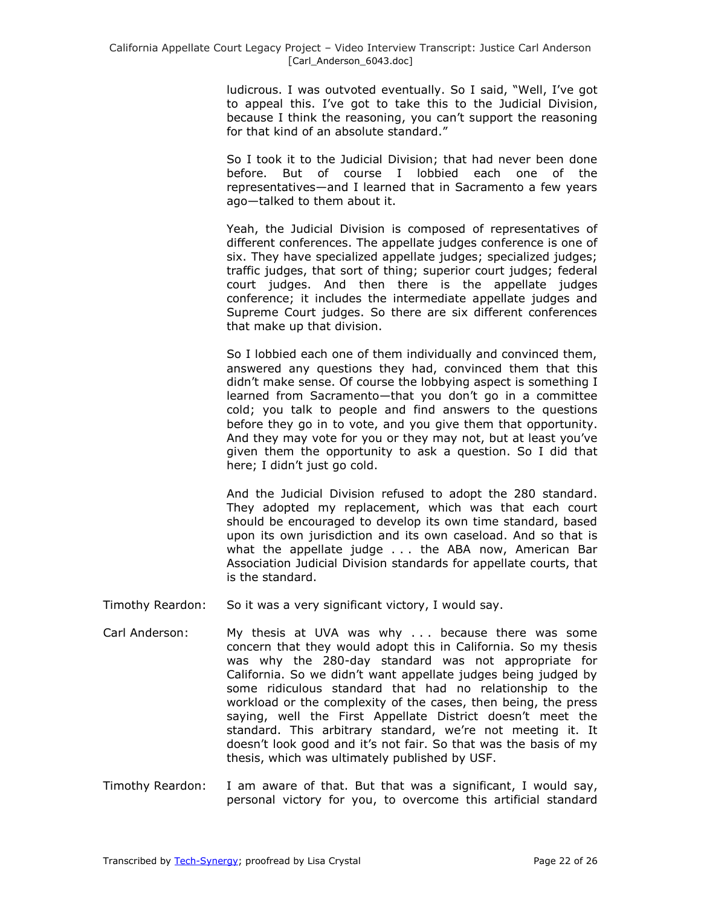ludicrous. I was outvoted eventually. So I said, "Well, I've got to appeal this. I've got to take this to the Judicial Division, because I think the reasoning, you can't support the reasoning for that kind of an absolute standard."

So I took it to the Judicial Division; that had never been done before. But of course I lobbied each one of the representatives—and I learned that in Sacramento a few years ago—talked to them about it.

Yeah, the Judicial Division is composed of representatives of different conferences. The appellate judges conference is one of six. They have specialized appellate judges; specialized judges; traffic judges, that sort of thing; superior court judges; federal court judges. And then there is the appellate judges conference; it includes the intermediate appellate judges and Supreme Court judges. So there are six different conferences that make up that division.

So I lobbied each one of them individually and convinced them, answered any questions they had, convinced them that this didn't make sense. Of course the lobbying aspect is something I learned from Sacramento—that you don't go in a committee cold; you talk to people and find answers to the questions before they go in to vote, and you give them that opportunity. And they may vote for you or they may not, but at least you've given them the opportunity to ask a question. So I did that here; I didn't just go cold.

And the Judicial Division refused to adopt the 280 standard. They adopted my replacement, which was that each court should be encouraged to develop its own time standard, based upon its own jurisdiction and its own caseload. And so that is what the appellate judge . . . the ABA now, American Bar Association Judicial Division standards for appellate courts, that is the standard.

- Timothy Reardon: So it was a very significant victory, I would say.
- Carl Anderson: My thesis at UVA was why . . . because there was some concern that they would adopt this in California. So my thesis was why the 280-day standard was not appropriate for California. So we didn't want appellate judges being judged by some ridiculous standard that had no relationship to the workload or the complexity of the cases, then being, the press saying, well the First Appellate District doesn't meet the standard. This arbitrary standard, we're not meeting it. It doesn't look good and it's not fair. So that was the basis of my thesis, which was ultimately published by USF.
- Timothy Reardon: I am aware of that. But that was a significant, I would say, personal victory for you, to overcome this artificial standard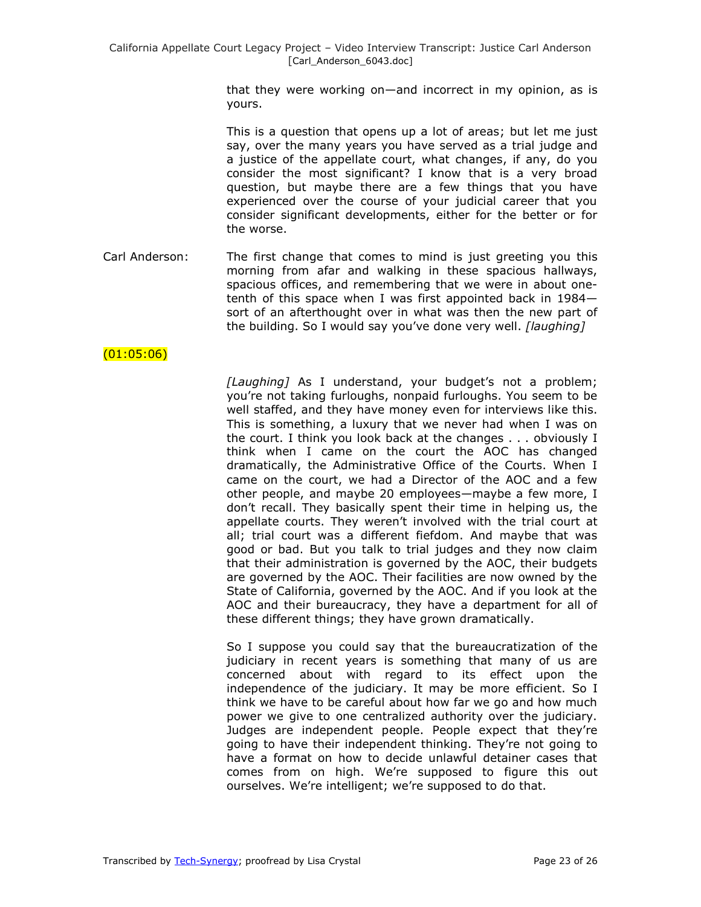that they were working on—and incorrect in my opinion, as is yours.

This is a question that opens up a lot of areas; but let me just say, over the many years you have served as a trial judge and a justice of the appellate court, what changes, if any, do you consider the most significant? I know that is a very broad question, but maybe there are a few things that you have experienced over the course of your judicial career that you consider significant developments, either for the better or for the worse.

Carl Anderson: The first change that comes to mind is just greeting you this morning from afar and walking in these spacious hallways, spacious offices, and remembering that we were in about onetenth of this space when I was first appointed back in 1984 sort of an afterthought over in what was then the new part of the building. So I would say you've done very well. *[laughing]*

# $(01:05:06)$

*[Laughing]* As I understand, your budget's not a problem; you're not taking furloughs, nonpaid furloughs. You seem to be well staffed, and they have money even for interviews like this. This is something, a luxury that we never had when I was on the court. I think you look back at the changes . . . obviously I think when I came on the court the AOC has changed dramatically, the Administrative Office of the Courts. When I came on the court, we had a Director of the AOC and a few other people, and maybe 20 employees—maybe a few more, I don't recall. They basically spent their time in helping us, the appellate courts. They weren't involved with the trial court at all; trial court was a different fiefdom. And maybe that was good or bad. But you talk to trial judges and they now claim that their administration is governed by the AOC, their budgets are governed by the AOC. Their facilities are now owned by the State of California, governed by the AOC. And if you look at the AOC and their bureaucracy, they have a department for all of these different things; they have grown dramatically.

So I suppose you could say that the bureaucratization of the judiciary in recent years is something that many of us are concerned about with regard to its effect upon the independence of the judiciary. It may be more efficient. So I think we have to be careful about how far we go and how much power we give to one centralized authority over the judiciary. Judges are independent people. People expect that they're going to have their independent thinking. They're not going to have a format on how to decide unlawful detainer cases that comes from on high. We're supposed to figure this out ourselves. We're intelligent; we're supposed to do that.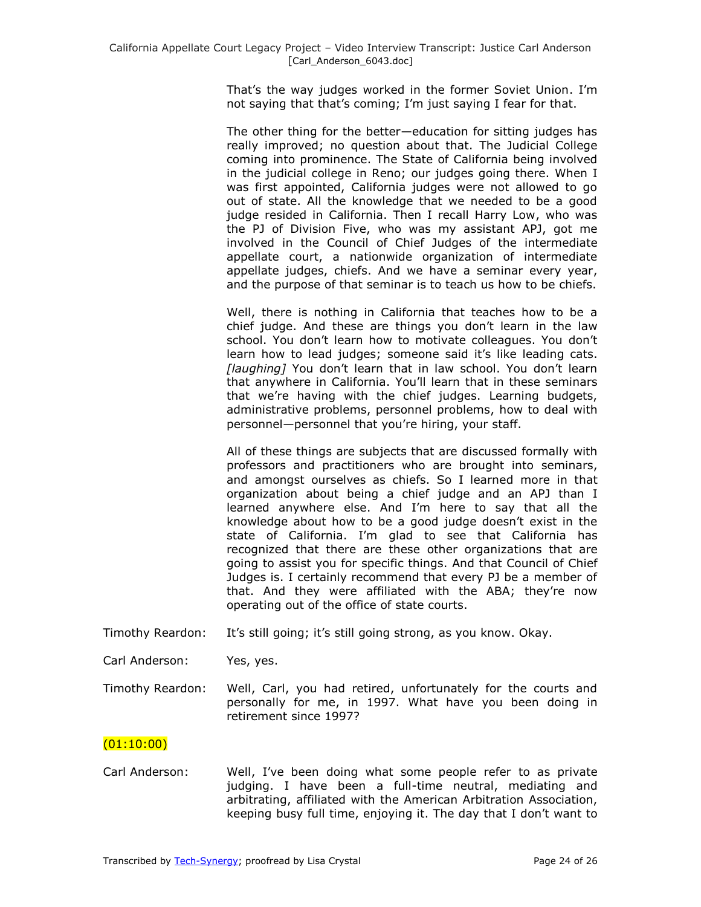That's the way judges worked in the former Soviet Union. I'm not saying that that's coming; I'm just saying I fear for that.

The other thing for the better—education for sitting judges has really improved; no question about that. The Judicial College coming into prominence. The State of California being involved in the judicial college in Reno; our judges going there. When I was first appointed, California judges were not allowed to go out of state. All the knowledge that we needed to be a good judge resided in California. Then I recall Harry Low, who was the PJ of Division Five, who was my assistant APJ, got me involved in the Council of Chief Judges of the intermediate appellate court, a nationwide organization of intermediate appellate judges, chiefs. And we have a seminar every year, and the purpose of that seminar is to teach us how to be chiefs.

Well, there is nothing in California that teaches how to be a chief judge. And these are things you don't learn in the law school. You don't learn how to motivate colleagues. You don't learn how to lead judges; someone said it's like leading cats. *[laughing]* You don't learn that in law school. You don't learn that anywhere in California. You'll learn that in these seminars that we're having with the chief judges. Learning budgets, administrative problems, personnel problems, how to deal with personnel—personnel that you're hiring, your staff.

All of these things are subjects that are discussed formally with professors and practitioners who are brought into seminars, and amongst ourselves as chiefs. So I learned more in that organization about being a chief judge and an APJ than I learned anywhere else. And I'm here to say that all the knowledge about how to be a good judge doesn't exist in the state of California. I'm glad to see that California has recognized that there are these other organizations that are going to assist you for specific things. And that Council of Chief Judges is. I certainly recommend that every PJ be a member of that. And they were affiliated with the ABA; they're now operating out of the office of state courts.

- Timothy Reardon: It's still going; it's still going strong, as you know. Okay.
- Carl Anderson: Yes, yes.
- Timothy Reardon: Well, Carl, you had retired, unfortunately for the courts and personally for me, in 1997. What have you been doing in retirement since 1997?

# (01:10:00)

Carl Anderson: Well, I've been doing what some people refer to as private judging. I have been a full-time neutral, mediating and arbitrating, affiliated with the American Arbitration Association, keeping busy full time, enjoying it. The day that I don't want to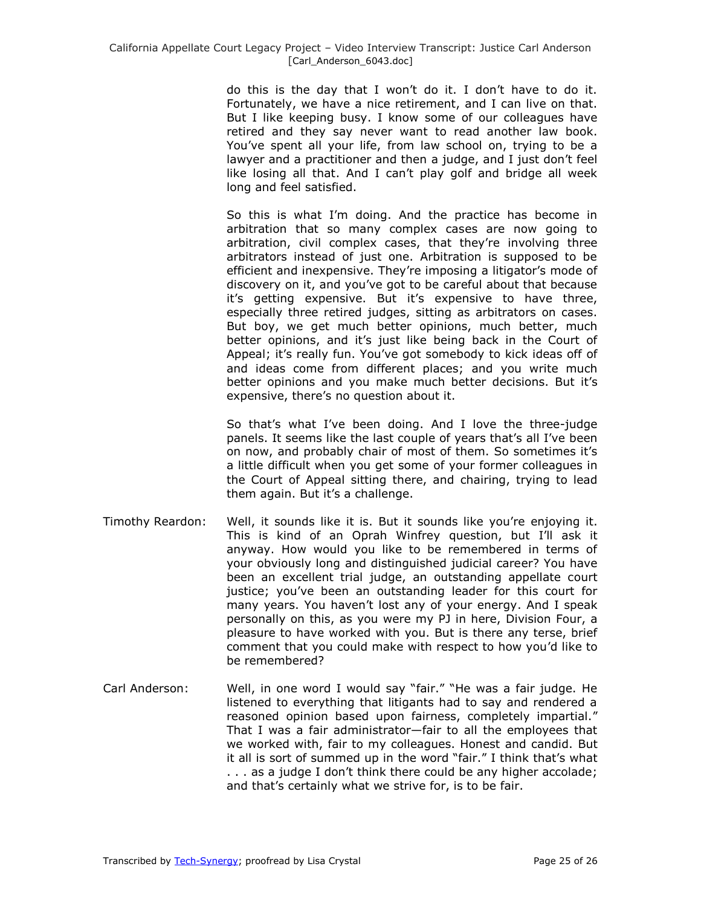do this is the day that I won't do it. I don't have to do it. Fortunately, we have a nice retirement, and I can live on that. But I like keeping busy. I know some of our colleagues have retired and they say never want to read another law book. You've spent all your life, from law school on, trying to be a lawyer and a practitioner and then a judge, and I just don't feel like losing all that. And I can't play golf and bridge all week long and feel satisfied.

So this is what I'm doing. And the practice has become in arbitration that so many complex cases are now going to arbitration, civil complex cases, that they're involving three arbitrators instead of just one. Arbitration is supposed to be efficient and inexpensive. They're imposing a litigator's mode of discovery on it, and you've got to be careful about that because it's getting expensive. But it's expensive to have three, especially three retired judges, sitting as arbitrators on cases. But boy, we get much better opinions, much better, much better opinions, and it's just like being back in the Court of Appeal; it's really fun. You've got somebody to kick ideas off of and ideas come from different places; and you write much better opinions and you make much better decisions. But it's expensive, there's no question about it.

So that's what I've been doing. And I love the three-judge panels. It seems like the last couple of years that's all I've been on now, and probably chair of most of them. So sometimes it's a little difficult when you get some of your former colleagues in the Court of Appeal sitting there, and chairing, trying to lead them again. But it's a challenge.

- Timothy Reardon: Well, it sounds like it is. But it sounds like you're enjoying it. This is kind of an Oprah Winfrey question, but I'll ask it anyway. How would you like to be remembered in terms of your obviously long and distinguished judicial career? You have been an excellent trial judge, an outstanding appellate court justice; you've been an outstanding leader for this court for many years. You haven't lost any of your energy. And I speak personally on this, as you were my PJ in here, Division Four, a pleasure to have worked with you. But is there any terse, brief comment that you could make with respect to how you'd like to be remembered?
- Carl Anderson: Well, in one word I would say "fair." "He was a fair judge. He listened to everything that litigants had to say and rendered a reasoned opinion based upon fairness, completely impartial." That I was a fair administrator—fair to all the employees that we worked with, fair to my colleagues. Honest and candid. But it all is sort of summed up in the word "fair." I think that's what . . . as a judge I don't think there could be any higher accolade; and that's certainly what we strive for, is to be fair.